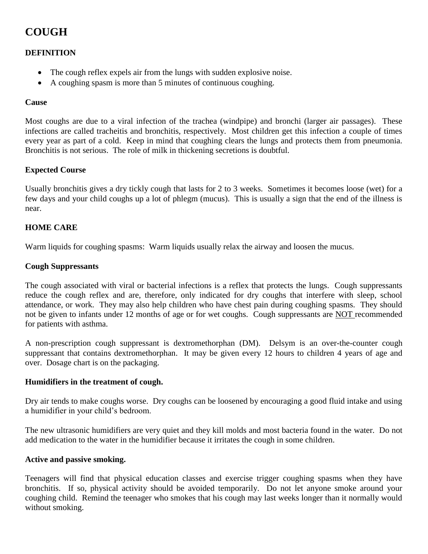# **COUGH**

# **DEFINITION**

- The cough reflex expels air from the lungs with sudden explosive noise.
- A coughing spasm is more than 5 minutes of continuous coughing.

## **Cause**

Most coughs are due to a viral infection of the trachea (windpipe) and bronchi (larger air passages). These infections are called tracheitis and bronchitis, respectively. Most children get this infection a couple of times every year as part of a cold. Keep in mind that coughing clears the lungs and protects them from pneumonia. Bronchitis is not serious. The role of milk in thickening secretions is doubtful.

#### **Expected Course**

Usually bronchitis gives a dry tickly cough that lasts for 2 to 3 weeks. Sometimes it becomes loose (wet) for a few days and your child coughs up a lot of phlegm (mucus). This is usually a sign that the end of the illness is near.

## **HOME CARE**

Warm liquids for coughing spasms: Warm liquids usually relax the airway and loosen the mucus.

#### **Cough Suppressants**

The cough associated with viral or bacterial infections is a reflex that protects the lungs. Cough suppressants reduce the cough reflex and are, therefore, only indicated for dry coughs that interfere with sleep, school attendance, or work. They may also help children who have chest pain during coughing spasms. They should not be given to infants under 12 months of age or for wet coughs. Cough suppressants are NOT recommended for patients with asthma.

A non-prescription cough suppressant is dextromethorphan (DM). Delsym is an over-the-counter cough suppressant that contains dextromethorphan. It may be given every 12 hours to children 4 years of age and over. Dosage chart is on the packaging.

#### **Humidifiers in the treatment of cough.**

Dry air tends to make coughs worse. Dry coughs can be loosened by encouraging a good fluid intake and using a humidifier in your child's bedroom.

The new ultrasonic humidifiers are very quiet and they kill molds and most bacteria found in the water. Do not add medication to the water in the humidifier because it irritates the cough in some children.

#### **Active and passive smoking.**

Teenagers will find that physical education classes and exercise trigger coughing spasms when they have bronchitis. If so, physical activity should be avoided temporarily. Do not let anyone smoke around your coughing child. Remind the teenager who smokes that his cough may last weeks longer than it normally would without smoking.